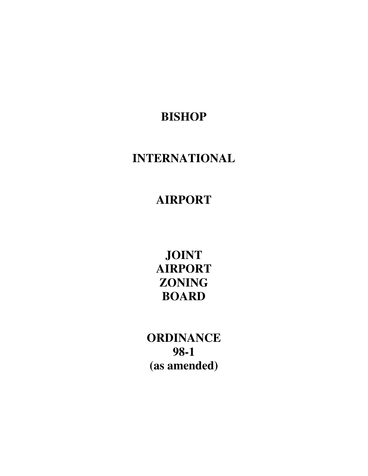**BISHOP** 

# **INTERNATIONAL**

**AIRPORT** 

**JOINT AIRPORT ZONING BOARD** 

**ORDINANCE 98-1 (as amended)**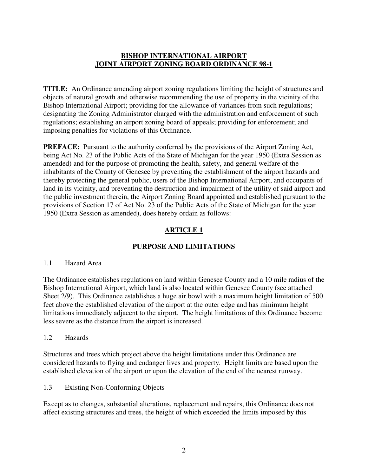## **BISHOP INTERNATIONAL AIRPORT JOINT AIRPORT ZONING BOARD ORDINANCE 98-1**

**TITLE:** An Ordinance amending airport zoning regulations limiting the height of structures and objects of natural growth and otherwise recommending the use of property in the vicinity of the Bishop International Airport; providing for the allowance of variances from such regulations; designating the Zoning Administrator charged with the administration and enforcement of such regulations; establishing an airport zoning board of appeals; providing for enforcement; and imposing penalties for violations of this Ordinance.

**PREFACE:** Pursuant to the authority conferred by the provisions of the Airport Zoning Act, being Act No. 23 of the Public Acts of the State of Michigan for the year 1950 (Extra Session as amended) and for the purpose of promoting the health, safety, and general welfare of the inhabitants of the County of Genesee by preventing the establishment of the airport hazards and thereby protecting the general public, users of the Bishop International Airport, and occupants of land in its vicinity, and preventing the destruction and impairment of the utility of said airport and the public investment therein, the Airport Zoning Board appointed and established pursuant to the provisions of Section 17 of Act No. 23 of the Public Acts of the State of Michigan for the year 1950 (Extra Session as amended), does hereby ordain as follows:

# **ARTICLE 1**

# **PURPOSE AND LIMITATIONS**

### 1.1 Hazard Area

The Ordinance establishes regulations on land within Genesee County and a 10 mile radius of the Bishop International Airport, which land is also located within Genesee County (see attached Sheet 2/9). This Ordinance establishes a huge air bowl with a maximum height limitation of 500 feet above the established elevation of the airport at the outer edge and has minimum height limitations immediately adjacent to the airport. The height limitations of this Ordinance become less severe as the distance from the airport is increased.

## 1.2 Hazards

Structures and trees which project above the height limitations under this Ordinance are considered hazards to flying and endanger lives and property. Height limits are based upon the established elevation of the airport or upon the elevation of the end of the nearest runway.

1.3 Existing Non-Conforming Objects

Except as to changes, substantial alterations, replacement and repairs, this Ordinance does not affect existing structures and trees, the height of which exceeded the limits imposed by this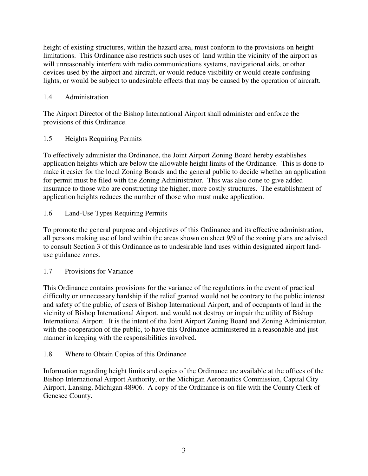height of existing structures, within the hazard area, must conform to the provisions on height limitations. This Ordinance also restricts such uses of land within the vicinity of the airport as will unreasonably interfere with radio communications systems, navigational aids, or other devices used by the airport and aircraft, or would reduce visibility or would create confusing lights, or would be subject to undesirable effects that may be caused by the operation of aircraft.

# 1.4 Administration

The Airport Director of the Bishop International Airport shall administer and enforce the provisions of this Ordinance.

# 1.5 Heights Requiring Permits

To effectively administer the Ordinance, the Joint Airport Zoning Board hereby establishes application heights which are below the allowable height limits of the Ordinance. This is done to make it easier for the local Zoning Boards and the general public to decide whether an application for permit must be filed with the Zoning Administrator. This was also done to give added insurance to those who are constructing the higher, more costly structures. The establishment of application heights reduces the number of those who must make application.

# 1.6 Land-Use Types Requiring Permits

To promote the general purpose and objectives of this Ordinance and its effective administration, all persons making use of land within the areas shown on sheet 9/9 of the zoning plans are advised to consult Section 3 of this Ordinance as to undesirable land uses within designated airport landuse guidance zones.

## 1.7 Provisions for Variance

This Ordinance contains provisions for the variance of the regulations in the event of practical difficulty or unnecessary hardship if the relief granted would not be contrary to the public interest and safety of the public, of users of Bishop International Airport, and of occupants of land in the vicinity of Bishop International Airport, and would not destroy or impair the utility of Bishop International Airport. It is the intent of the Joint Airport Zoning Board and Zoning Administrator, with the cooperation of the public, to have this Ordinance administered in a reasonable and just manner in keeping with the responsibilities involved.

## 1.8 Where to Obtain Copies of this Ordinance

Information regarding height limits and copies of the Ordinance are available at the offices of the Bishop International Airport Authority, or the Michigan Aeronautics Commission, Capital City Airport, Lansing, Michigan 48906. A copy of the Ordinance is on file with the County Clerk of Genesee County.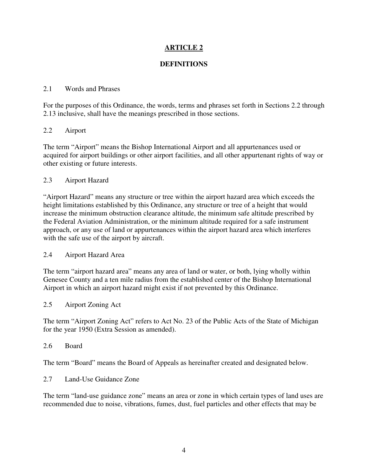# **ARTICLE 2**

## **DEFINITIONS**

### 2.1 Words and Phrases

For the purposes of this Ordinance, the words, terms and phrases set forth in Sections 2.2 through 2.13 inclusive, shall have the meanings prescribed in those sections.

### 2.2 Airport

The term "Airport" means the Bishop International Airport and all appurtenances used or acquired for airport buildings or other airport facilities, and all other appurtenant rights of way or other existing or future interests.

### 2.3 Airport Hazard

"Airport Hazard" means any structure or tree within the airport hazard area which exceeds the height limitations established by this Ordinance, any structure or tree of a height that would increase the minimum obstruction clearance altitude, the minimum safe altitude prescribed by the Federal Aviation Administration, or the minimum altitude required for a safe instrument approach, or any use of land or appurtenances within the airport hazard area which interferes with the safe use of the airport by aircraft.

### 2.4 Airport Hazard Area

The term "airport hazard area" means any area of land or water, or both, lying wholly within Genesee County and a ten mile radius from the established center of the Bishop International Airport in which an airport hazard might exist if not prevented by this Ordinance.

### 2.5 Airport Zoning Act

The term "Airport Zoning Act" refers to Act No. 23 of the Public Acts of the State of Michigan for the year 1950 (Extra Session as amended).

#### 2.6 Board

The term "Board" means the Board of Appeals as hereinafter created and designated below.

#### 2.7 Land-Use Guidance Zone

The term "land-use guidance zone" means an area or zone in which certain types of land uses are recommended due to noise, vibrations, fumes, dust, fuel particles and other effects that may be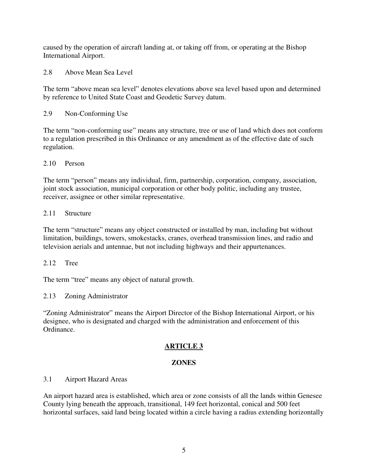caused by the operation of aircraft landing at, or taking off from, or operating at the Bishop International Airport.

2.8 Above Mean Sea Level

The term "above mean sea level" denotes elevations above sea level based upon and determined by reference to United State Coast and Geodetic Survey datum.

2.9 Non-Conforming Use

The term "non-conforming use" means any structure, tree or use of land which does not conform to a regulation prescribed in this Ordinance or any amendment as of the effective date of such regulation.

2.10 Person

The term "person" means any individual, firm, partnership, corporation, company, association, joint stock association, municipal corporation or other body politic, including any trustee, receiver, assignee or other similar representative.

# 2.11 Structure

The term "structure" means any object constructed or installed by man, including but without limitation, buildings, towers, smokestacks, cranes, overhead transmission lines, and radio and television aerials and antennae, but not including highways and their appurtenances.

2.12 Tree

The term "tree" means any object of natural growth.

2.13 Zoning Administrator

"Zoning Administrator" means the Airport Director of the Bishop International Airport, or his designee, who is designated and charged with the administration and enforcement of this Ordinance.

# **ARTICLE 3**

# **ZONES**

## 3.1 Airport Hazard Areas

An airport hazard area is established, which area or zone consists of all the lands within Genesee County lying beneath the approach, transitional, 149 feet horizontal, conical and 500 feet horizontal surfaces, said land being located within a circle having a radius extending horizontally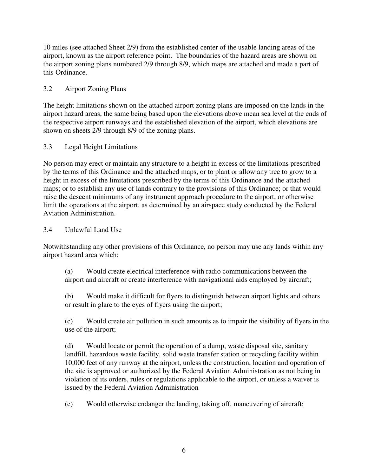10 miles (see attached Sheet 2/9) from the established center of the usable landing areas of the airport, known as the airport reference point. The boundaries of the hazard areas are shown on the airport zoning plans numbered 2/9 through 8/9, which maps are attached and made a part of this Ordinance.

# 3.2 Airport Zoning Plans

The height limitations shown on the attached airport zoning plans are imposed on the lands in the airport hazard areas, the same being based upon the elevations above mean sea level at the ends of the respective airport runways and the established elevation of the airport, which elevations are shown on sheets 2/9 through 8/9 of the zoning plans.

## 3.3 Legal Height Limitations

No person may erect or maintain any structure to a height in excess of the limitations prescribed by the terms of this Ordinance and the attached maps, or to plant or allow any tree to grow to a height in excess of the limitations prescribed by the terms of this Ordinance and the attached maps; or to establish any use of lands contrary to the provisions of this Ordinance; or that would raise the descent minimums of any instrument approach procedure to the airport, or otherwise limit the operations at the airport, as determined by an airspace study conducted by the Federal Aviation Administration.

## 3.4 Unlawful Land Use

Notwithstanding any other provisions of this Ordinance, no person may use any lands within any airport hazard area which:

(a) Would create electrical interference with radio communications between the airport and aircraft or create interference with navigational aids employed by aircraft;

(b) Would make it difficult for flyers to distinguish between airport lights and others or result in glare to the eyes of flyers using the airport;

(c) Would create air pollution in such amounts as to impair the visibility of flyers in the use of the airport;

(d) Would locate or permit the operation of a dump, waste disposal site, sanitary landfill, hazardous waste facility, solid waste transfer station or recycling facility within 10,000 feet of any runway at the airport, unless the construction, location and operation of the site is approved or authorized by the Federal Aviation Administration as not being in violation of its orders, rules or regulations applicable to the airport, or unless a waiver is issued by the Federal Aviation Administration

(e) Would otherwise endanger the landing, taking off, maneuvering of aircraft;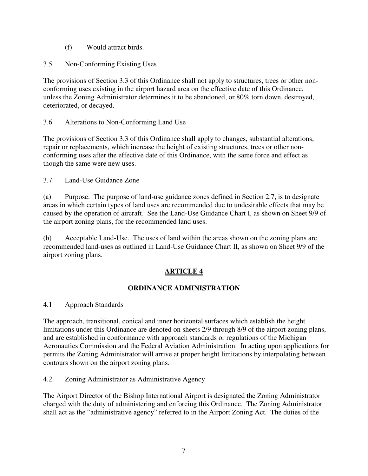- (f) Would attract birds.
- 3.5 Non-Conforming Existing Uses

The provisions of Section 3.3 of this Ordinance shall not apply to structures, trees or other nonconforming uses existing in the airport hazard area on the effective date of this Ordinance, unless the Zoning Administrator determines it to be abandoned, or 80% torn down, destroyed, deteriorated, or decayed.

3.6 Alterations to Non-Conforming Land Use

The provisions of Section 3.3 of this Ordinance shall apply to changes, substantial alterations, repair or replacements, which increase the height of existing structures, trees or other nonconforming uses after the effective date of this Ordinance, with the same force and effect as though the same were new uses.

3.7 Land-Use Guidance Zone

(a) Purpose. The purpose of land-use guidance zones defined in Section 2.7, is to designate areas in which certain types of land uses are recommended due to undesirable effects that may be caused by the operation of aircraft. See the Land-Use Guidance Chart I, as shown on Sheet 9/9 of the airport zoning plans, for the recommended land uses.

(b) Acceptable Land-Use. The uses of land within the areas shown on the zoning plans are recommended land-uses as outlined in Land-Use Guidance Chart II, as shown on Sheet 9/9 of the airport zoning plans.

# **ARTICLE 4**

## **ORDINANCE ADMINISTRATION**

4.1 Approach Standards

The approach, transitional, conical and inner horizontal surfaces which establish the height limitations under this Ordinance are denoted on sheets 2/9 through 8/9 of the airport zoning plans, and are established in conformance with approach standards or regulations of the Michigan Aeronautics Commission and the Federal Aviation Administration. In acting upon applications for permits the Zoning Administrator will arrive at proper height limitations by interpolating between contours shown on the airport zoning plans.

4.2 Zoning Administrator as Administrative Agency

The Airport Director of the Bishop International Airport is designated the Zoning Administrator charged with the duty of administering and enforcing this Ordinance. The Zoning Administrator shall act as the "administrative agency" referred to in the Airport Zoning Act. The duties of the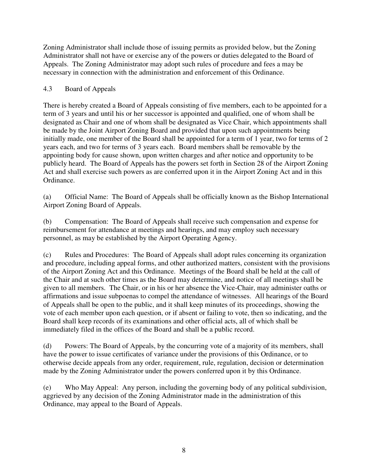Zoning Administrator shall include those of issuing permits as provided below, but the Zoning Administrator shall not have or exercise any of the powers or duties delegated to the Board of Appeals. The Zoning Administrator may adopt such rules of procedure and fees a may be necessary in connection with the administration and enforcement of this Ordinance.

# 4.3 Board of Appeals

There is hereby created a Board of Appeals consisting of five members, each to be appointed for a term of 3 years and until his or her successor is appointed and qualified, one of whom shall be designated as Chair and one of whom shall be designated as Vice Chair, which appointments shall be made by the Joint Airport Zoning Board and provided that upon such appointments being initially made, one member of the Board shall be appointed for a term of 1 year, two for terms of 2 years each, and two for terms of 3 years each. Board members shall be removable by the appointing body for cause shown, upon written charges and after notice and opportunity to be publicly heard. The Board of Appeals has the powers set forth in Section 28 of the Airport Zoning Act and shall exercise such powers as are conferred upon it in the Airport Zoning Act and in this Ordinance.

(a) Official Name: The Board of Appeals shall be officially known as the Bishop International Airport Zoning Board of Appeals.

(b) Compensation: The Board of Appeals shall receive such compensation and expense for reimbursement for attendance at meetings and hearings, and may employ such necessary personnel, as may be established by the Airport Operating Agency.

(c) Rules and Procedures: The Board of Appeals shall adopt rules concerning its organization and procedure, including appeal forms, and other authorized matters, consistent with the provisions of the Airport Zoning Act and this Ordinance. Meetings of the Board shall be held at the call of the Chair and at such other times as the Board may determine, and notice of all meetings shall be given to all members. The Chair, or in his or her absence the Vice-Chair, may administer oaths or affirmations and issue subpoenas to compel the attendance of witnesses. All hearings of the Board of Appeals shall be open to the public, and it shall keep minutes of its proceedings, showing the vote of each member upon each question, or if absent or failing to vote, then so indicating, and the Board shall keep records of its examinations and other official acts, all of which shall be immediately filed in the offices of the Board and shall be a public record.

(d) Powers: The Board of Appeals, by the concurring vote of a majority of its members, shall have the power to issue certificates of variance under the provisions of this Ordinance, or to otherwise decide appeals from any order, requirement, rule, regulation, decision or determination made by the Zoning Administrator under the powers conferred upon it by this Ordinance.

(e) Who May Appeal: Any person, including the governing body of any political subdivision, aggrieved by any decision of the Zoning Administrator made in the administration of this Ordinance, may appeal to the Board of Appeals.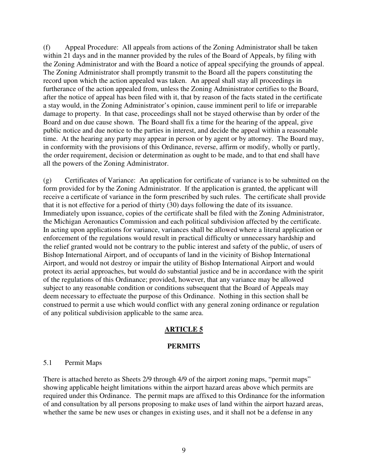(f) Appeal Procedure: All appeals from actions of the Zoning Administrator shall be taken within 21 days and in the manner provided by the rules of the Board of Appeals, by filing with the Zoning Administrator and with the Board a notice of appeal specifying the grounds of appeal. The Zoning Administrator shall promptly transmit to the Board all the papers constituting the record upon which the action appealed was taken. An appeal shall stay all proceedings in furtherance of the action appealed from, unless the Zoning Administrator certifies to the Board, after the notice of appeal has been filed with it, that by reason of the facts stated in the certificate a stay would, in the Zoning Administrator's opinion, cause imminent peril to life or irreparable damage to property. In that case, proceedings shall not be stayed otherwise than by order of the Board and on due cause shown. The Board shall fix a time for the hearing of the appeal, give public notice and due notice to the parties in interest, and decide the appeal within a reasonable time. At the hearing any party may appear in person or by agent or by attorney. The Board may, in conformity with the provisions of this Ordinance, reverse, affirm or modify, wholly or partly, the order requirement, decision or determination as ought to be made, and to that end shall have all the powers of the Zoning Administrator.

(g) Certificates of Variance: An application for certificate of variance is to be submitted on the form provided for by the Zoning Administrator. If the application is granted, the applicant will receive a certificate of variance in the form prescribed by such rules. The certificate shall provide that it is not effective for a period of thirty (30) days following the date of its issuance. Immediately upon issuance, copies of the certificate shall be filed with the Zoning Administrator, the Michigan Aeronautics Commission and each political subdivision affected by the certificate. In acting upon applications for variance, variances shall be allowed where a literal application or enforcement of the regulations would result in practical difficulty or unnecessary hardship and the relief granted would not be contrary to the public interest and safety of the public, of users of Bishop International Airport, and of occupants of land in the vicinity of Bishop International Airport, and would not destroy or impair the utility of Bishop International Airport and would protect its aerial approaches, but would do substantial justice and be in accordance with the spirit of the regulations of this Ordinance; provided, however, that any variance may be allowed subject to any reasonable condition or conditions subsequent that the Board of Appeals may deem necessary to effectuate the purpose of this Ordinance. Nothing in this section shall be construed to permit a use which would conflict with any general zoning ordinance or regulation of any political subdivision applicable to the same area.

# **ARTICLE 5**

### **PERMITS**

### 5.1 Permit Maps

There is attached hereto as Sheets 2/9 through 4/9 of the airport zoning maps, "permit maps" showing applicable height limitations within the airport hazard areas above which permits are required under this Ordinance. The permit maps are affixed to this Ordinance for the information of and consultation by all persons proposing to make uses of land within the airport hazard areas, whether the same be new uses or changes in existing uses, and it shall not be a defense in any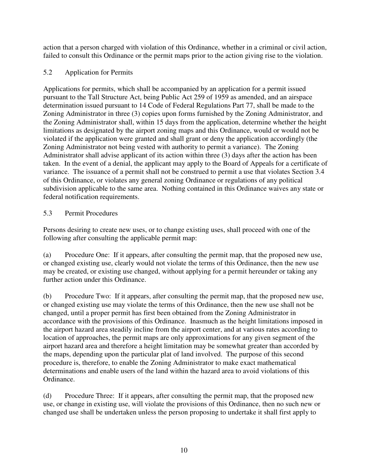action that a person charged with violation of this Ordinance, whether in a criminal or civil action, failed to consult this Ordinance or the permit maps prior to the action giving rise to the violation.

# 5.2 Application for Permits

Applications for permits, which shall be accompanied by an application for a permit issued pursuant to the Tall Structure Act, being Public Act 259 of 1959 as amended, and an airspace determination issued pursuant to 14 Code of Federal Regulations Part 77, shall be made to the Zoning Administrator in three (3) copies upon forms furnished by the Zoning Administrator, and the Zoning Administrator shall, within 15 days from the application, determine whether the height limitations as designated by the airport zoning maps and this Ordinance, would or would not be violated if the application were granted and shall grant or deny the application accordingly (the Zoning Administrator not being vested with authority to permit a variance). The Zoning Administrator shall advise applicant of its action within three (3) days after the action has been taken. In the event of a denial, the applicant may apply to the Board of Appeals for a certificate of variance. The issuance of a permit shall not be construed to permit a use that violates Section 3.4 of this Ordinance, or violates any general zoning Ordinance or regulations of any political subdivision applicable to the same area. Nothing contained in this Ordinance waives any state or federal notification requirements.

## 5.3 Permit Procedures

Persons desiring to create new uses, or to change existing uses, shall proceed with one of the following after consulting the applicable permit map:

(a) Procedure One: If it appears, after consulting the permit map, that the proposed new use, or changed existing use, clearly would not violate the terms of this Ordinance, then the new use may be created, or existing use changed, without applying for a permit hereunder or taking any further action under this Ordinance.

(b) Procedure Two: If it appears, after consulting the permit map, that the proposed new use, or changed existing use may violate the terms of this Ordinance, then the new use shall not be changed, until a proper permit has first been obtained from the Zoning Administrator in accordance with the provisions of this Ordinance. Inasmuch as the height limitations imposed in the airport hazard area steadily incline from the airport center, and at various rates according to location of approaches, the permit maps are only approximations for any given segment of the airport hazard area and therefore a height limitation may be somewhat greater than accorded by the maps, depending upon the particular plat of land involved. The purpose of this second procedure is, therefore, to enable the Zoning Administrator to make exact mathematical determinations and enable users of the land within the hazard area to avoid violations of this Ordinance.

(d) Procedure Three: If it appears, after consulting the permit map, that the proposed new use, or change in existing use, will violate the provisions of this Ordinance, then no such new or changed use shall be undertaken unless the person proposing to undertake it shall first apply to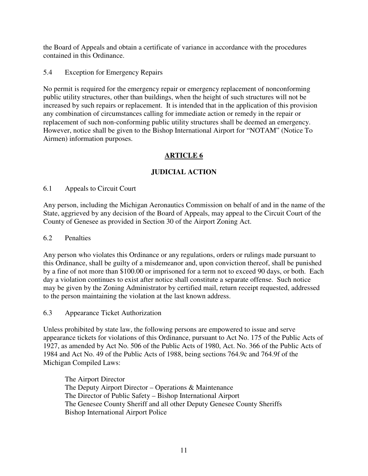the Board of Appeals and obtain a certificate of variance in accordance with the procedures contained in this Ordinance.

5.4 Exception for Emergency Repairs

No permit is required for the emergency repair or emergency replacement of nonconforming public utility structures, other than buildings, when the height of such structures will not be increased by such repairs or replacement. It is intended that in the application of this provision any combination of circumstances calling for immediate action or remedy in the repair or replacement of such non-conforming public utility structures shall be deemed an emergency. However, notice shall be given to the Bishop International Airport for "NOTAM" (Notice To Airmen) information purposes.

# **ARTICLE 6**

# **JUDICIAL ACTION**

## 6.1 Appeals to Circuit Court

Any person, including the Michigan Aeronautics Commission on behalf of and in the name of the State, aggrieved by any decision of the Board of Appeals, may appeal to the Circuit Court of the County of Genesee as provided in Section 30 of the Airport Zoning Act.

## 6.2 Penalties

Any person who violates this Ordinance or any regulations, orders or rulings made pursuant to this Ordinance, shall be guilty of a misdemeanor and, upon conviction thereof, shall be punished by a fine of not more than \$100.00 or imprisoned for a term not to exceed 90 days, or both. Each day a violation continues to exist after notice shall constitute a separate offense. Such notice may be given by the Zoning Administrator by certified mail, return receipt requested, addressed to the person maintaining the violation at the last known address.

6.3 Appearance Ticket Authorization

Unless prohibited by state law, the following persons are empowered to issue and serve appearance tickets for violations of this Ordinance, pursuant to Act No. 175 of the Public Acts of 1927, as amended by Act No. 506 of the Public Acts of 1980, Act. No. 366 of the Public Acts of 1984 and Act No. 49 of the Public Acts of 1988, being sections 764.9c and 764.9f of the Michigan Compiled Laws:

 The Airport Director The Deputy Airport Director – Operations & Maintenance The Director of Public Safety – Bishop International Airport The Genesee County Sheriff and all other Deputy Genesee County Sheriffs Bishop International Airport Police